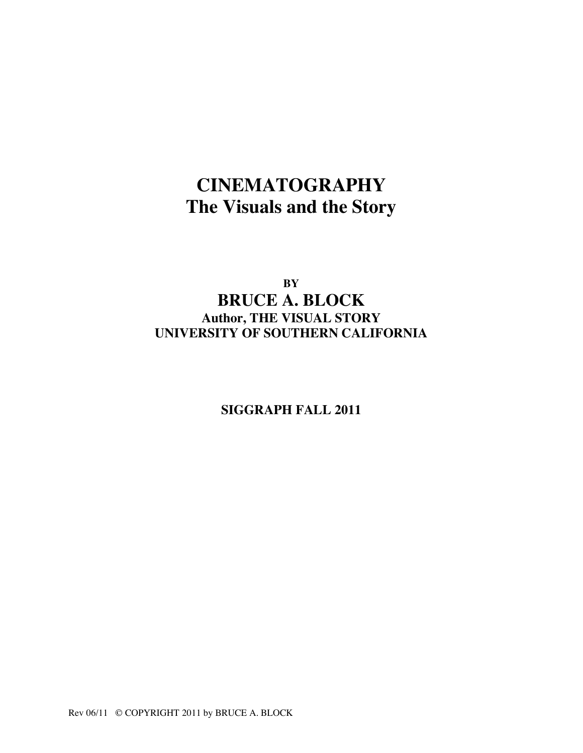# **CINEMATOGRAPHY The Visuals and the Story**

**BY BRUCE A. BLOCK Author, THE VISUAL STORY UNIVERSITY OF SOUTHERN CALIFORNIA**

**SIGGRAPH FALL 2011**

Rev 06/11 © COPYRIGHT 2011 by BRUCE A. BLOCK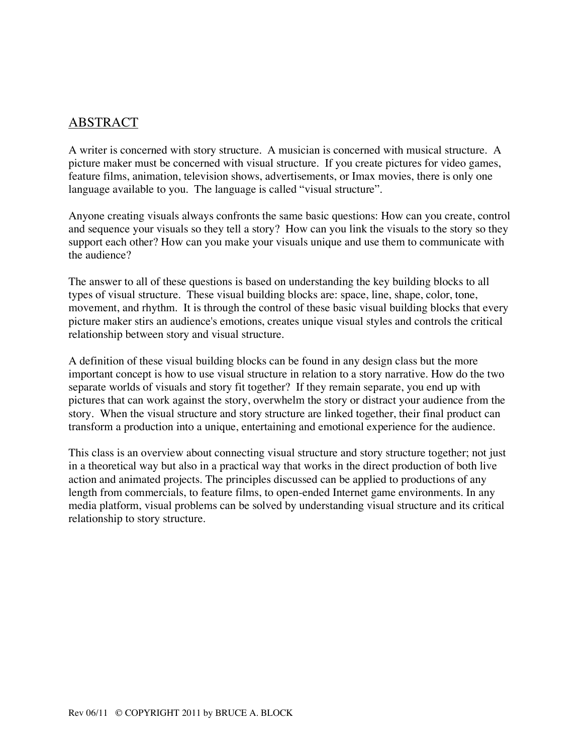# ABSTRACT

A writer is concerned with story structure. A musician is concerned with musical structure. A picture maker must be concerned with visual structure. If you create pictures for video games, feature films, animation, television shows, advertisements, or Imax movies, there is only one language available to you. The language is called "visual structure".

Anyone creating visuals always confronts the same basic questions: How can you create, control and sequence your visuals so they tell a story? How can you link the visuals to the story so they support each other? How can you make your visuals unique and use them to communicate with the audience?

The answer to all of these questions is based on understanding the key building blocks to all types of visual structure. These visual building blocks are: space, line, shape, color, tone, movement, and rhythm. It is through the control of these basic visual building blocks that every picture maker stirs an audience's emotions, creates unique visual styles and controls the critical relationship between story and visual structure.

A definition of these visual building blocks can be found in any design class but the more important concept is how to use visual structure in relation to a story narrative. How do the two separate worlds of visuals and story fit together? If they remain separate, you end up with pictures that can work against the story, overwhelm the story or distract your audience from the story. When the visual structure and story structure are linked together, their final product can transform a production into a unique, entertaining and emotional experience for the audience.

This class is an overview about connecting visual structure and story structure together; not just in a theoretical way but also in a practical way that works in the direct production of both live action and animated projects. The principles discussed can be applied to productions of any length from commercials, to feature films, to open-ended Internet game environments. In any media platform, visual problems can be solved by understanding visual structure and its critical relationship to story structure.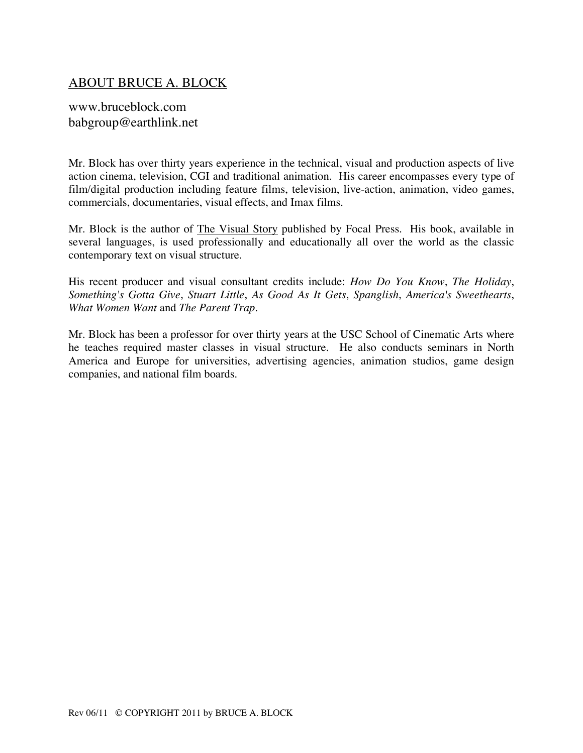# ABOUT BRUCE A. BLOCK

www.bruceblock.com babgroup@earthlink.net

Mr. Block has over thirty years experience in the technical, visual and production aspects of live action cinema, television, CGI and traditional animation. His career encompasses every type of film/digital production including feature films, television, live-action, animation, video games, commercials, documentaries, visual effects, and Imax films.

Mr. Block is the author of The Visual Story published by Focal Press. His book, available in several languages, is used professionally and educationally all over the world as the classic contemporary text on visual structure.

His recent producer and visual consultant credits include: *How Do You Know*, *The Holiday*, *Something's Gotta Give*, *Stuart Little*, *As Good As It Gets*, *Spanglish*, *America's Sweethearts*, *What Women Want* and *The Parent Trap*.

Mr. Block has been a professor for over thirty years at the USC School of Cinematic Arts where he teaches required master classes in visual structure. He also conducts seminars in North America and Europe for universities, advertising agencies, animation studios, game design companies, and national film boards.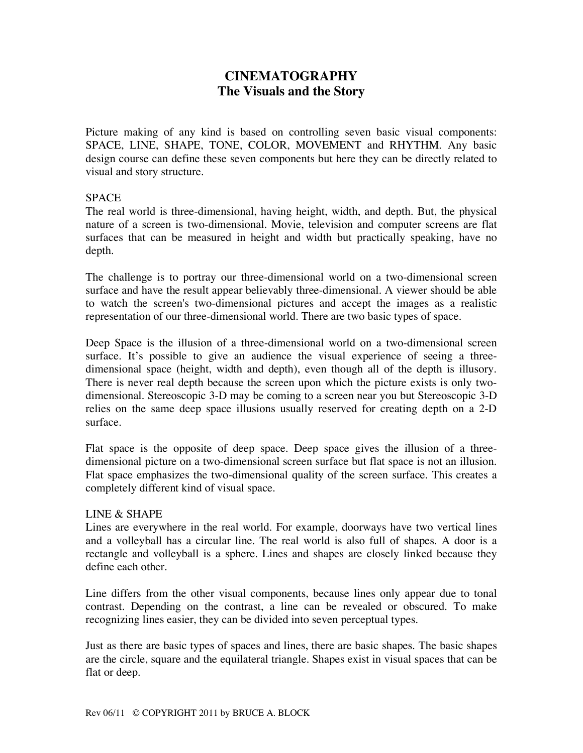# **CINEMATOGRAPHY The Visuals and the Story**

Picture making of any kind is based on controlling seven basic visual components: SPACE, LINE, SHAPE, TONE, COLOR, MOVEMENT and RHYTHM. Any basic design course can define these seven components but here they can be directly related to visual and story structure.

#### **SPACE**

The real world is three-dimensional, having height, width, and depth. But, the physical nature of a screen is two-dimensional. Movie, television and computer screens are flat surfaces that can be measured in height and width but practically speaking, have no depth.

The challenge is to portray our three-dimensional world on a two-dimensional screen surface and have the result appear believably three-dimensional. A viewer should be able to watch the screen's two-dimensional pictures and accept the images as a realistic representation of our three-dimensional world. There are two basic types of space.

Deep Space is the illusion of a three-dimensional world on a two-dimensional screen surface. It's possible to give an audience the visual experience of seeing a threedimensional space (height, width and depth), even though all of the depth is illusory. There is never real depth because the screen upon which the picture exists is only twodimensional. Stereoscopic 3-D may be coming to a screen near you but Stereoscopic 3-D relies on the same deep space illusions usually reserved for creating depth on a 2-D surface.

Flat space is the opposite of deep space. Deep space gives the illusion of a threedimensional picture on a two-dimensional screen surface but flat space is not an illusion. Flat space emphasizes the two-dimensional quality of the screen surface. This creates a completely different kind of visual space.

#### LINE & SHAPE

Lines are everywhere in the real world. For example, doorways have two vertical lines and a volleyball has a circular line. The real world is also full of shapes. A door is a rectangle and volleyball is a sphere. Lines and shapes are closely linked because they define each other.

Line differs from the other visual components, because lines only appear due to tonal contrast. Depending on the contrast, a line can be revealed or obscured. To make recognizing lines easier, they can be divided into seven perceptual types.

Just as there are basic types of spaces and lines, there are basic shapes. The basic shapes are the circle, square and the equilateral triangle. Shapes exist in visual spaces that can be flat or deep.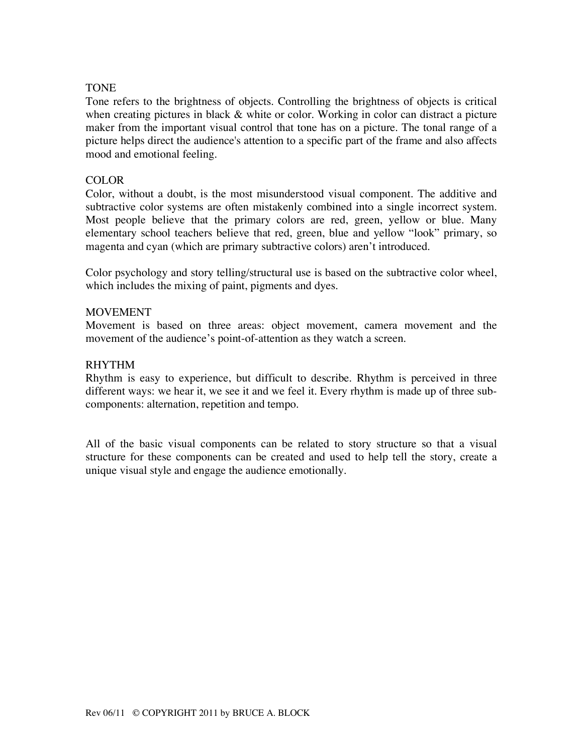#### TONE

Tone refers to the brightness of objects. Controlling the brightness of objects is critical when creating pictures in black & white or color. Working in color can distract a picture maker from the important visual control that tone has on a picture. The tonal range of a picture helps direct the audience's attention to a specific part of the frame and also affects mood and emotional feeling.

#### COLOR

Color, without a doubt, is the most misunderstood visual component. The additive and subtractive color systems are often mistakenly combined into a single incorrect system. Most people believe that the primary colors are red, green, yellow or blue. Many elementary school teachers believe that red, green, blue and yellow "look" primary, so magenta and cyan (which are primary subtractive colors) aren't introduced.

Color psychology and story telling/structural use is based on the subtractive color wheel, which includes the mixing of paint, pigments and dyes.

#### **MOVEMENT**

Movement is based on three areas: object movement, camera movement and the movement of the audience's point-of-attention as they watch a screen.

#### RHYTHM

Rhythm is easy to experience, but difficult to describe. Rhythm is perceived in three different ways: we hear it, we see it and we feel it. Every rhythm is made up of three subcomponents: alternation, repetition and tempo.

All of the basic visual components can be related to story structure so that a visual structure for these components can be created and used to help tell the story, create a unique visual style and engage the audience emotionally.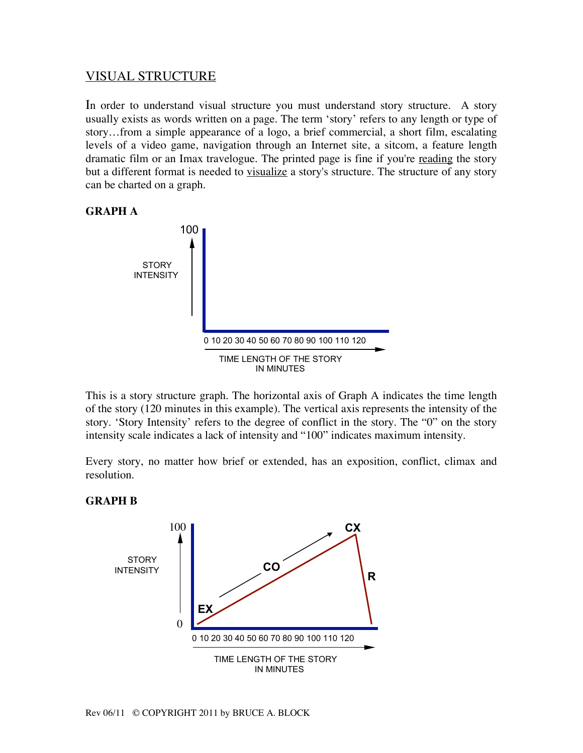# VISUAL STRUCTURE

In order to understand visual structure you must understand story structure. A story usually exists as words written on a page. The term 'story' refers to any length or type of story…from a simple appearance of a logo, a brief commercial, a short film, escalating levels of a video game, navigation through an Internet site, a sitcom, a feature length dramatic film or an Imax travelogue. The printed page is fine if you're reading the story but a different format is needed to visualize a story's structure. The structure of any story can be charted on a graph.

#### **GRAPH A**



This is a story structure graph. The horizontal axis of Graph A indicates the time length of the story (120 minutes in this example). The vertical axis represents the intensity of the story. 'Story Intensity' refers to the degree of conflict in the story. The "0" on the story intensity scale indicates a lack of intensity and "100" indicates maximum intensity.

Every story, no matter how brief or extended, has an exposition, conflict, climax and resolution.

#### **GRAPH B**

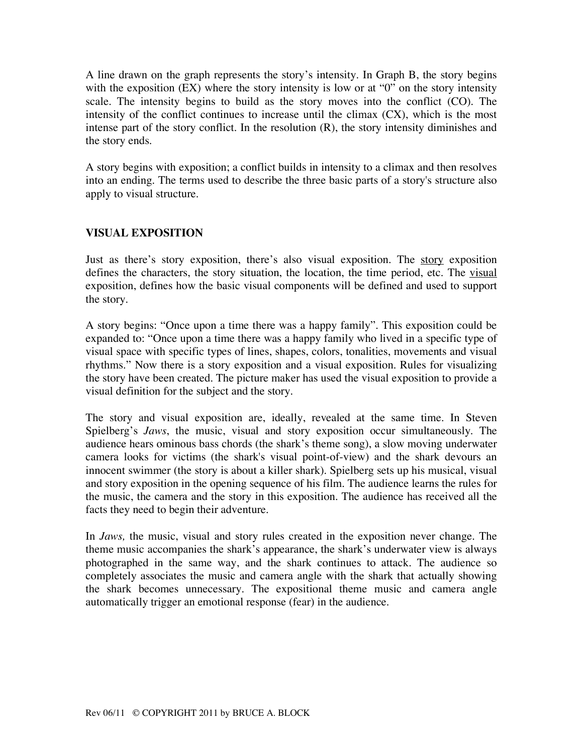A line drawn on the graph represents the story's intensity. In Graph B, the story begins with the exposition (EX) where the story intensity is low or at "0" on the story intensity scale. The intensity begins to build as the story moves into the conflict (CO). The intensity of the conflict continues to increase until the climax (CX), which is the most intense part of the story conflict. In the resolution (R), the story intensity diminishes and the story ends.

A story begins with exposition; a conflict builds in intensity to a climax and then resolves into an ending. The terms used to describe the three basic parts of a story's structure also apply to visual structure.

## **VISUAL EXPOSITION**

Just as there's story exposition, there's also visual exposition. The story exposition defines the characters, the story situation, the location, the time period, etc. The visual exposition, defines how the basic visual components will be defined and used to support the story.

A story begins: "Once upon a time there was a happy family". This exposition could be expanded to: "Once upon a time there was a happy family who lived in a specific type of visual space with specific types of lines, shapes, colors, tonalities, movements and visual rhythms." Now there is a story exposition and a visual exposition. Rules for visualizing the story have been created. The picture maker has used the visual exposition to provide a visual definition for the subject and the story.

The story and visual exposition are, ideally, revealed at the same time. In Steven Spielberg's *Jaws*, the music, visual and story exposition occur simultaneously. The audience hears ominous bass chords (the shark's theme song), a slow moving underwater camera looks for victims (the shark's visual point-of-view) and the shark devours an innocent swimmer (the story is about a killer shark). Spielberg sets up his musical, visual and story exposition in the opening sequence of his film. The audience learns the rules for the music, the camera and the story in this exposition. The audience has received all the facts they need to begin their adventure.

In *Jaws,* the music, visual and story rules created in the exposition never change. The theme music accompanies the shark's appearance, the shark's underwater view is always photographed in the same way, and the shark continues to attack. The audience so completely associates the music and camera angle with the shark that actually showing the shark becomes unnecessary. The expositional theme music and camera angle automatically trigger an emotional response (fear) in the audience.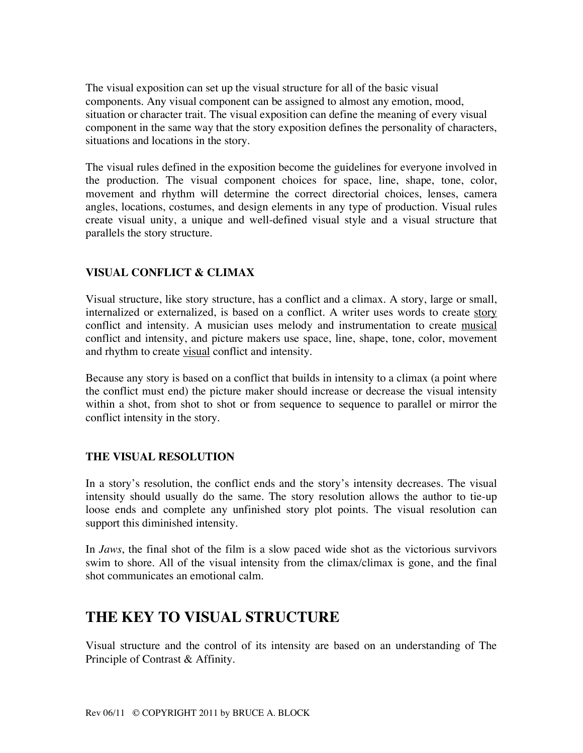The visual exposition can set up the visual structure for all of the basic visual components. Any visual component can be assigned to almost any emotion, mood, situation or character trait. The visual exposition can define the meaning of every visual component in the same way that the story exposition defines the personality of characters, situations and locations in the story.

The visual rules defined in the exposition become the guidelines for everyone involved in the production. The visual component choices for space, line, shape, tone, color, movement and rhythm will determine the correct directorial choices, lenses, camera angles, locations, costumes, and design elements in any type of production. Visual rules create visual unity, a unique and well-defined visual style and a visual structure that parallels the story structure.

## **VISUAL CONFLICT & CLIMAX**

Visual structure, like story structure, has a conflict and a climax. A story, large or small, internalized or externalized, is based on a conflict. A writer uses words to create story conflict and intensity. A musician uses melody and instrumentation to create musical conflict and intensity, and picture makers use space, line, shape, tone, color, movement and rhythm to create visual conflict and intensity.

Because any story is based on a conflict that builds in intensity to a climax (a point where the conflict must end) the picture maker should increase or decrease the visual intensity within a shot, from shot to shot or from sequence to sequence to parallel or mirror the conflict intensity in the story.

### **THE VISUAL RESOLUTION**

In a story's resolution, the conflict ends and the story's intensity decreases. The visual intensity should usually do the same. The story resolution allows the author to tie-up loose ends and complete any unfinished story plot points. The visual resolution can support this diminished intensity.

In *Jaws*, the final shot of the film is a slow paced wide shot as the victorious survivors swim to shore. All of the visual intensity from the climax/climax is gone, and the final shot communicates an emotional calm.

# **THE KEY TO VISUAL STRUCTURE**

Visual structure and the control of its intensity are based on an understanding of The Principle of Contrast & Affinity.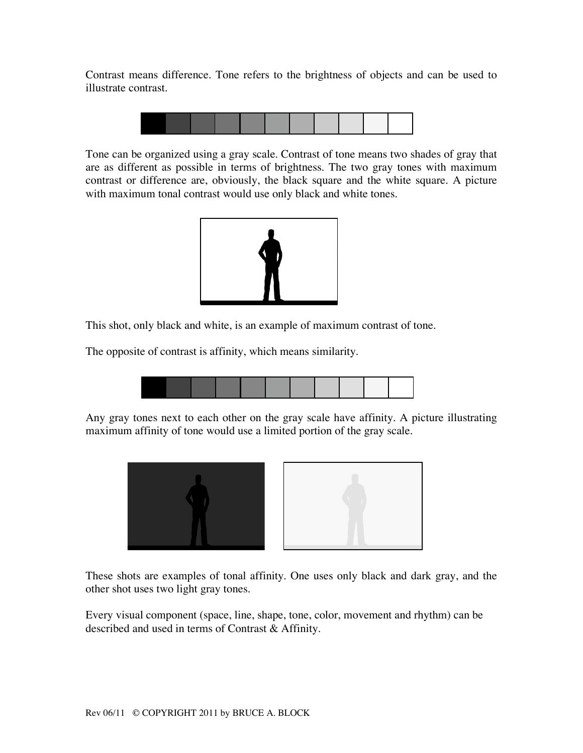Contrast means difference. Tone refers to the brightness of objects and can be used to illustrate contrast.



Tone can be organized using a gray scale. Contrast of tone means two shades of gray that are as different as possible in terms of brightness. The two gray tones with maximum contrast or difference are, obviously, the black square and the white square. A picture with maximum tonal contrast would use only black and white tones.



This shot, only black and white, is an example of maximum contrast of tone.

The opposite of contrast is affinity, which means similarity.



Any gray tones next to each other on the gray scale have affinity. A picture illustrating maximum affinity of tone would use a limited portion of the gray scale.



These shots are examples of tonal affinity. One uses only black and dark gray, and the other shot uses two light gray tones.

Every visual component (space, line, shape, tone, color, movement and rhythm) can be described and used in terms of Contrast & Affinity.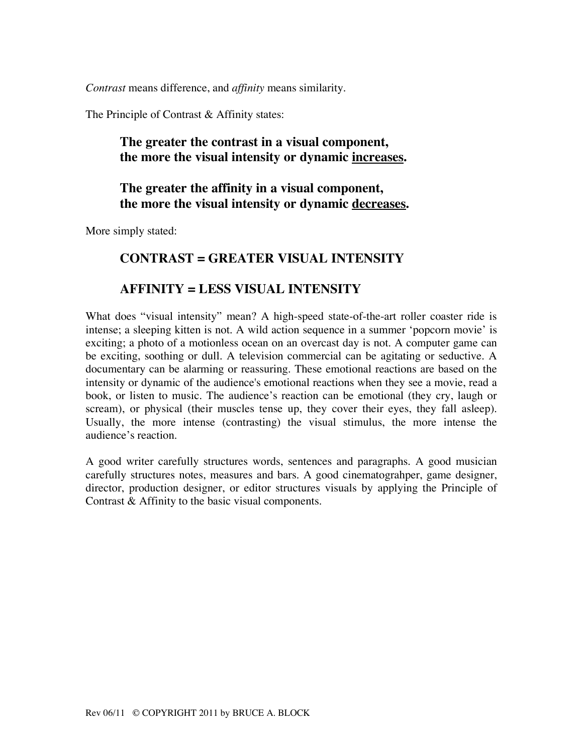*Contrast* means difference, and *affinity* means similarity.

The Principle of Contrast & Affinity states:

# **The greater the contrast in a visual component, the more the visual intensity or dynamic increases.**

# **The greater the affinity in a visual component, the more the visual intensity or dynamic decreases.**

More simply stated:

# **CONTRAST = GREATER VISUAL INTENSITY**

# **AFFINITY = LESS VISUAL INTENSITY**

What does "visual intensity" mean? A high-speed state-of-the-art roller coaster ride is intense; a sleeping kitten is not. A wild action sequence in a summer 'popcorn movie' is exciting; a photo of a motionless ocean on an overcast day is not. A computer game can be exciting, soothing or dull. A television commercial can be agitating or seductive. A documentary can be alarming or reassuring. These emotional reactions are based on the intensity or dynamic of the audience's emotional reactions when they see a movie, read a book, or listen to music. The audience's reaction can be emotional (they cry, laugh or scream), or physical (their muscles tense up, they cover their eyes, they fall asleep). Usually, the more intense (contrasting) the visual stimulus, the more intense the audience's reaction.

A good writer carefully structures words, sentences and paragraphs. A good musician carefully structures notes, measures and bars. A good cinematograhper, game designer, director, production designer, or editor structures visuals by applying the Principle of Contrast & Affinity to the basic visual components.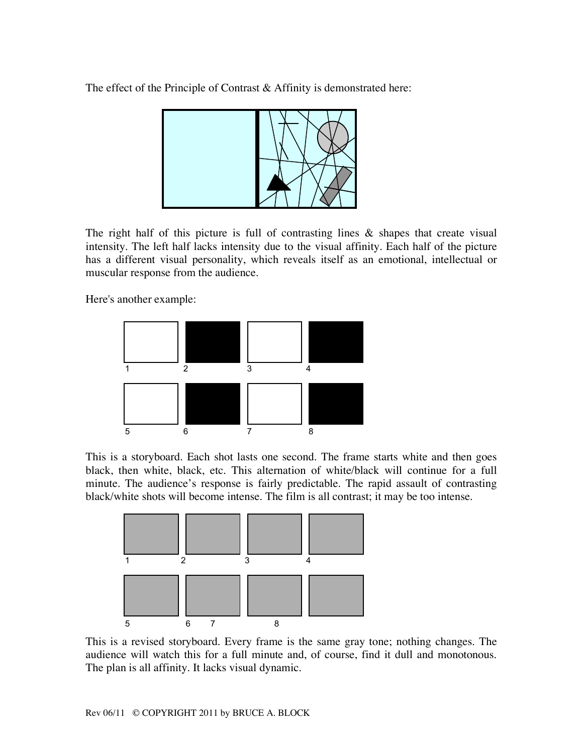The effect of the Principle of Contrast & Affinity is demonstrated here:



The right half of this picture is full of contrasting lines & shapes that create visual intensity. The left half lacks intensity due to the visual affinity. Each half of the picture has a different visual personality, which reveals itself as an emotional, intellectual or muscular response from the audience.

Here's another example:



This is a storyboard. Each shot lasts one second. The frame starts white and then goes black, then white, black, etc. This alternation of white/black will continue for a full minute. The audience's response is fairly predictable. The rapid assault of contrasting black/white shots will become intense. The film is all contrast; it may be too intense.



This is a revised storyboard. Every frame is the same gray tone; nothing changes. The audience will watch this for a full minute and, of course, find it dull and monotonous. The plan is all affinity. It lacks visual dynamic.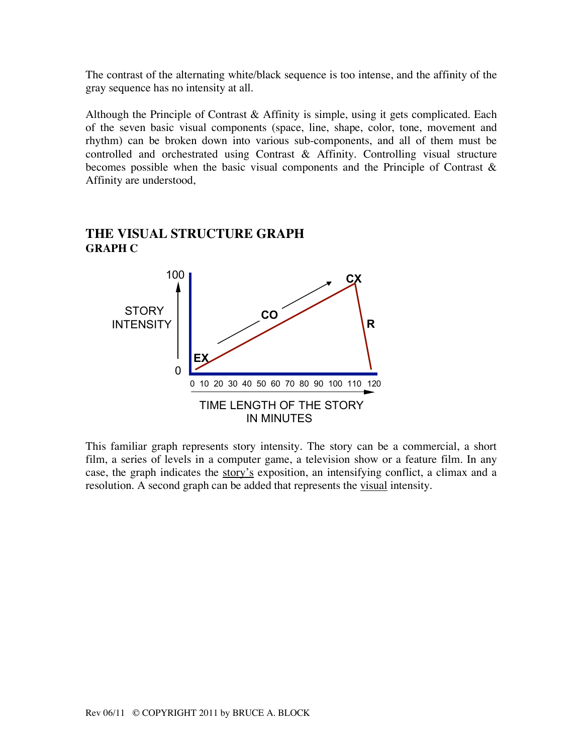The contrast of the alternating white/black sequence is too intense, and the affinity of the gray sequence has no intensity at all.

Although the Principle of Contrast & Affinity is simple, using it gets complicated. Each of the seven basic visual components (space, line, shape, color, tone, movement and rhythm) can be broken down into various sub-components, and all of them must be controlled and orchestrated using Contrast & Affinity. Controlling visual structure becomes possible when the basic visual components and the Principle of Contrast & Affinity are understood,



#### **THE VISUAL STRUCTURE GRAPH GRAPH C**

This familiar graph represents story intensity. The story can be a commercial, a short film, a series of levels in a computer game, a television show or a feature film. In any case, the graph indicates the story's exposition, an intensifying conflict, a climax and a resolution. A second graph can be added that represents the visual intensity.